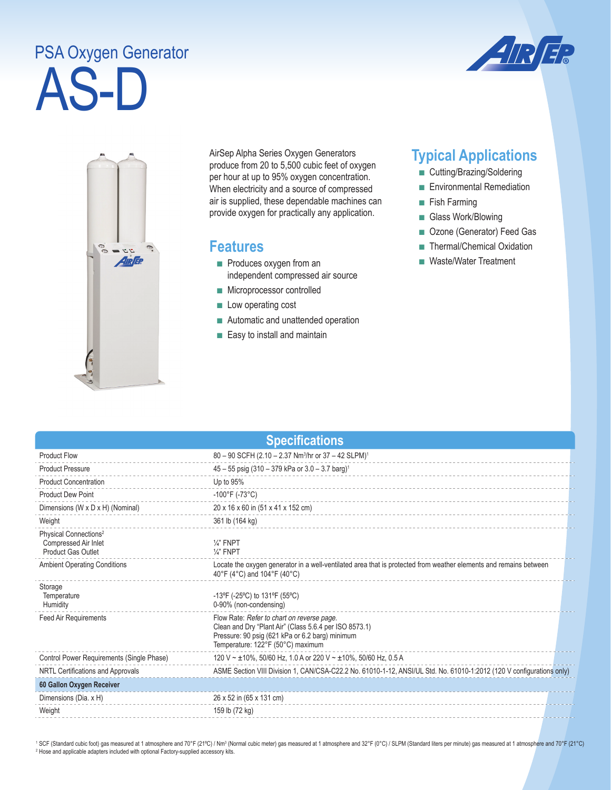## AS-D PSA Oxygen Generator





AirSep Alpha Series Oxygen Generators produce from 20 to 5,500 cubic feet of oxygen per hour at up to 95% oxygen concentration. When electricity and a source of compressed air is supplied, these dependable machines can provide oxygen for practically any application.

## **Features**

- Produces oxygen from an independent compressed air source
- Microprocessor controlled
- Low operating cost
- Automatic and unattended operation
- Easy to install and maintain

## **Typical Applications**

- Cutting/Brazing/Soldering
- Environmental Remediation
- Fish Farming
- Glass Work/Blowing
- Ozone (Generator) Feed Gas
- Thermal/Chemical Oxidation
- Waste/Water Treatment

| <b>Specifications</b>                                                           |                                                                                                                                                                                              |  |  |
|---------------------------------------------------------------------------------|----------------------------------------------------------------------------------------------------------------------------------------------------------------------------------------------|--|--|
| <b>Product Flow</b>                                                             | 80 - 90 SCFH (2.10 - 2.37 Nm <sup>3</sup> /hr or 37 - 42 SLPM) <sup>1</sup>                                                                                                                  |  |  |
| <b>Product Pressure</b>                                                         | $45 - 55$ psig (310 - 379 kPa or 3.0 - 3.7 barg) <sup>1</sup>                                                                                                                                |  |  |
| <b>Product Concentration</b>                                                    | Up to 95%                                                                                                                                                                                    |  |  |
| <b>Product Dew Point</b>                                                        | $-100^{\circ}$ F (-73°C)                                                                                                                                                                     |  |  |
| Dimensions (W x D x H) (Nominal)                                                | 20 x 16 x 60 in (51 x 41 x 152 cm)                                                                                                                                                           |  |  |
| Weight                                                                          | 361 lb (164 kg)                                                                                                                                                                              |  |  |
| Physical Connections <sup>2</sup><br>Compressed Air Inlet<br>Product Gas Outlet | $\frac{1}{4}$ FNPT<br>$\frac{1}{4}$ " FNPT                                                                                                                                                   |  |  |
| <b>Ambient Operating Conditions</b>                                             | Locate the oxygen generator in a well-ventilated area that is protected from weather elements and remains between<br>40°F (4°C) and 104°F (40°C)                                             |  |  |
| Storage<br>Temperature<br>Humidity                                              | $-13^{\circ}F$ (-25 $^{\circ}C$ ) to 131 $^{\circ}F$ (55 $^{\circ}C$ )<br>0-90% (non-condensing)                                                                                             |  |  |
| <b>Feed Air Requirements</b>                                                    | Flow Rate: Refer to chart on reverse page.<br>Clean and Dry "Plant Air" (Class 5.6.4 per ISO 8573.1)<br>Pressure: 90 psig (621 kPa or 6.2 barg) minimum<br>Temperature: 122°F (50°C) maximum |  |  |
| Control Power Requirements (Single Phase)                                       | 120 V ~ ±10%, 50/60 Hz, 1.0 A or 220 V ~ ±10%, 50/60 Hz, 0.5 A                                                                                                                               |  |  |
| NRTL Certifications and Approvals                                               | ASME Section VIII Division 1, CAN/CSA-C22.2 No. 61010-1-12, ANSI/UL Std. No. 61010-1:2012 (120 V configurations only)                                                                        |  |  |
| 60 Gallon Oxygen Receiver                                                       |                                                                                                                                                                                              |  |  |
| Dimensions (Dia. x H)                                                           | 26 x 52 in (65 x 131 cm)                                                                                                                                                                     |  |  |
| Weight                                                                          | 159 lb (72 kg)                                                                                                                                                                               |  |  |

<sup>1</sup> SCF (Standard cubic foot) gas measured at 1 atmosphere and 70°F (21°C) / Nm<sup>3</sup> (Normal cubic meter) gas measured at 1 atmosphere and 32°F (0°C) / SLPM (Standard liters per minute) gas measured at 1 atmosphere and 70°F <sup>2</sup> Hose and applicable adapters included with optional Factory-supplied accessory kits.